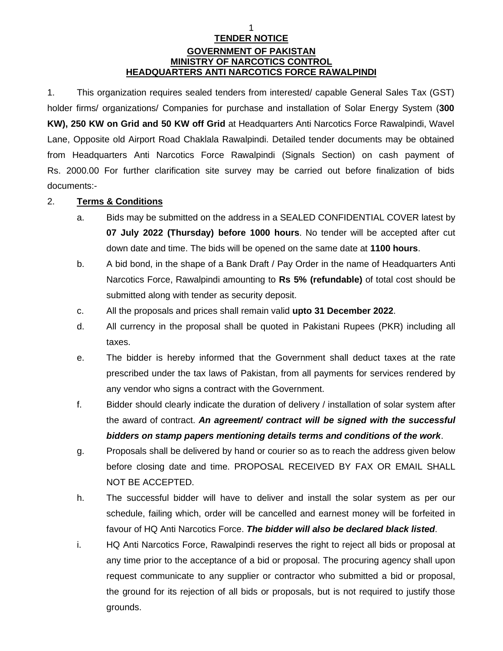## 1 **TENDER NOTICE GOVERNMENT OF PAKISTAN MINISTRY OF NARCOTICS CONTROL HEADQUARTERS ANTI NARCOTICS FORCE RAWALPINDI**

1. This organization requires sealed tenders from interested/ capable General Sales Tax (GST) holder firms/ organizations/ Companies for purchase and installation of Solar Energy System (**300 KW), 250 KW on Grid and 50 KW off Grid** at Headquarters Anti Narcotics Force Rawalpindi, Wavel Lane, Opposite old Airport Road Chaklala Rawalpindi. Detailed tender documents may be obtained from Headquarters Anti Narcotics Force Rawalpindi (Signals Section) on cash payment of Rs. 2000.00 For further clarification site survey may be carried out before finalization of bids documents:-

## 2. **Terms & Conditions**

- a. Bids may be submitted on the address in a SEALED CONFIDENTIAL COVER latest by **07 July 2022 (Thursday) before 1000 hours**. No tender will be accepted after cut down date and time. The bids will be opened on the same date at **1100 hours**.
- b. A bid bond, in the shape of a Bank Draft / Pay Order in the name of Headquarters Anti Narcotics Force, Rawalpindi amounting to **Rs 5% (refundable)** of total cost should be submitted along with tender as security deposit.
- c. All the proposals and prices shall remain valid **upto 31 December 2022**.
- d. All currency in the proposal shall be quoted in Pakistani Rupees (PKR) including all taxes.
- e. The bidder is hereby informed that the Government shall deduct taxes at the rate prescribed under the tax laws of Pakistan, from all payments for services rendered by any vendor who signs a contract with the Government.
- f. Bidder should clearly indicate the duration of delivery / installation of solar system after the award of contract. *An agreement/ contract will be signed with the successful bidders on stamp papers mentioning details terms and conditions of the work*.
- g. Proposals shall be delivered by hand or courier so as to reach the address given below before closing date and time. PROPOSAL RECEIVED BY FAX OR EMAIL SHALL NOT BE ACCEPTED.
- h. The successful bidder will have to deliver and install the solar system as per our schedule, failing which, order will be cancelled and earnest money will be forfeited in favour of HQ Anti Narcotics Force. *The bidder will also be declared black listed*.
- i. HQ Anti Narcotics Force, Rawalpindi reserves the right to reject all bids or proposal at any time prior to the acceptance of a bid or proposal. The procuring agency shall upon request communicate to any supplier or contractor who submitted a bid or proposal, the ground for its rejection of all bids or proposals, but is not required to justify those grounds.